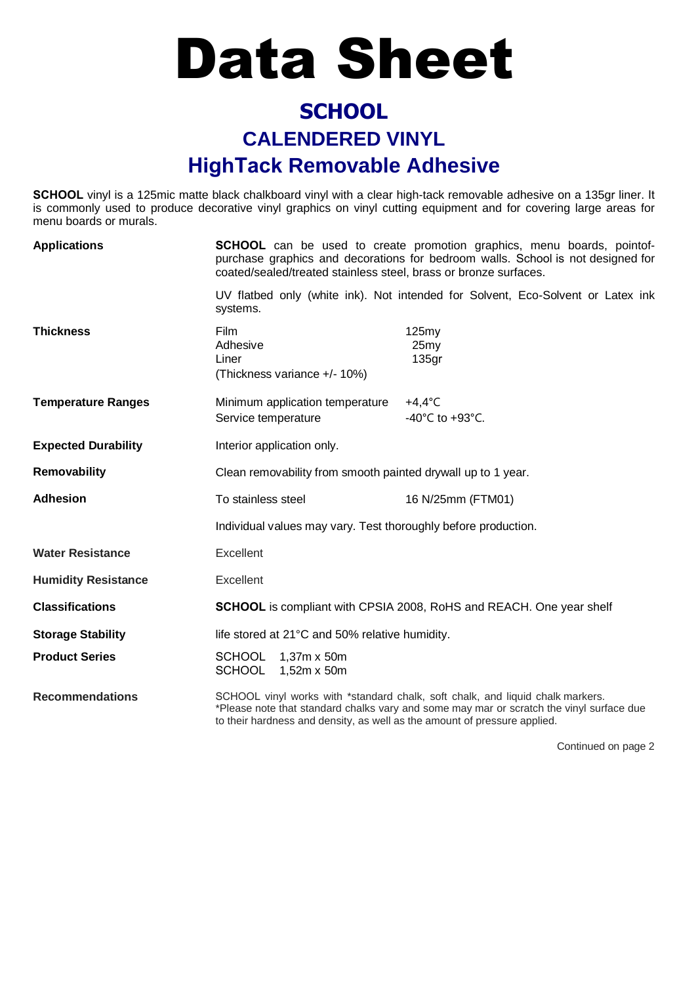## Data Sheet

## **SCHOOL CALENDERED VINYL HighTack Removable Adhesive**

**SCHOOL** vinyl is a 125mic matte black chalkboard vinyl with a clear high-tack removable adhesive on a 135gr liner. It is commonly used to produce decorative vinyl graphics on vinyl cutting equipment and for covering large areas for menu boards or murals.

| <b>Applications</b>        | <b>SCHOOL</b> can be used to create promotion graphics, menu boards, pointof-<br>purchase graphics and decorations for bedroom walls. School is not designed for<br>coated/sealed/treated stainless steel, brass or bronze surfaces.                    |                                                                                 |
|----------------------------|---------------------------------------------------------------------------------------------------------------------------------------------------------------------------------------------------------------------------------------------------------|---------------------------------------------------------------------------------|
|                            | systems.                                                                                                                                                                                                                                                | UV flatbed only (white ink). Not intended for Solvent, Eco-Solvent or Latex ink |
| <b>Thickness</b>           | Film<br>Adhesive<br>Liner<br>(Thickness variance +/- 10%)                                                                                                                                                                                               | 125my<br>25 <sub>my</sub><br>135 <sub>qr</sub>                                  |
| <b>Temperature Ranges</b>  | Minimum application temperature<br>Service temperature                                                                                                                                                                                                  | $+4,4^{\circ}$ C<br>-40°C to +93°C.                                             |
| <b>Expected Durability</b> | Interior application only.                                                                                                                                                                                                                              |                                                                                 |
| Removability               | Clean removability from smooth painted drywall up to 1 year.                                                                                                                                                                                            |                                                                                 |
| <b>Adhesion</b>            | To stainless steel                                                                                                                                                                                                                                      | 16 N/25mm (FTM01)                                                               |
|                            | Individual values may vary. Test thoroughly before production.                                                                                                                                                                                          |                                                                                 |
| <b>Water Resistance</b>    | Excellent                                                                                                                                                                                                                                               |                                                                                 |
| <b>Humidity Resistance</b> | Excellent                                                                                                                                                                                                                                               |                                                                                 |
| <b>Classifications</b>     | <b>SCHOOL</b> is compliant with CPSIA 2008, RoHS and REACH. One year shelf                                                                                                                                                                              |                                                                                 |
| <b>Storage Stability</b>   | life stored at 21°C and 50% relative humidity.                                                                                                                                                                                                          |                                                                                 |
| <b>Product Series</b>      | <b>SCHOOL</b><br>1,37m x 50m<br>SCHOOL<br>$1,52m \times 50m$                                                                                                                                                                                            |                                                                                 |
| <b>Recommendations</b>     | SCHOOL vinyl works with *standard chalk, soft chalk, and liquid chalk markers.<br>*Please note that standard chalks vary and some may mar or scratch the vinyl surface due<br>to their hardness and density, as well as the amount of pressure applied. |                                                                                 |

Continued on page 2